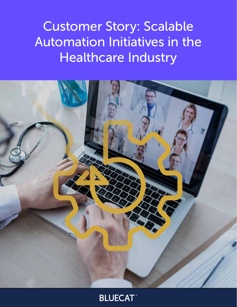Customer Story: Scalable Automation Initiatives in the Healthcare Industry



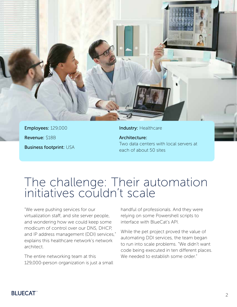

Employees: 129,000 Revenue: \$18B Business footprint: USA Industry: Healthcare

Architecture: Two data centers with local servers at each of about 50 sites

# The challenge: Their automation initiatives couldn't scale

"We were pushing services for our virtualization staff, and site server people, and wondering how we could keep some modicum of control over our DNS, DHCP, and IP address management (DDI) services," explains this healthcare network's network architect.

The entire networking team at this 129,000-person organization is just a small handful of professionals. And they were relying on some Powershell scripts to interface with BlueCat's API.

While the pet project proved the value of automating DDI services, the team began to run into scale problems. "We didn't want code being executed in ten different places. We needed to establish some order."

### **BLUECAT**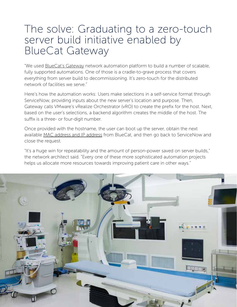## The solve: Graduating to a zero-touch server build initiative enabled by BlueCat Gateway

"We used **BlueCat's Gateway** network automation platform to build a number of scalable, fully supported automations. One of those is a cradle-to-grave process that covers everything from server build to decommissioning. It's zero-touch for the distributed network of facilities we serve."

Here's how the automation works: Users make selections in a self-service format through ServiceNow, providing inputs about the new server's location and purpose. Then, Gateway calls VMware's vRealize Orchestrator (vRO) to create the prefix for the host. Next, based on the user's selections, a backend algorithm creates the middle of the host. The suffix is a three- or four-digit number.

Once provided with the hostname, the user can boot up the server, obtain the next available [MAC address and IP address](https://bluecatnetworks.com/blog/mac-address-vs-ip-address-whats-the-difference/) from BlueCat, and then go back to ServiceNow and close the request.

"It's a huge win for repeatability and the amount of person-power saved on server builds," the network architect said. "Every one of these more sophisticated automation projects helps us allocate more resources towards improving patient care in other ways."